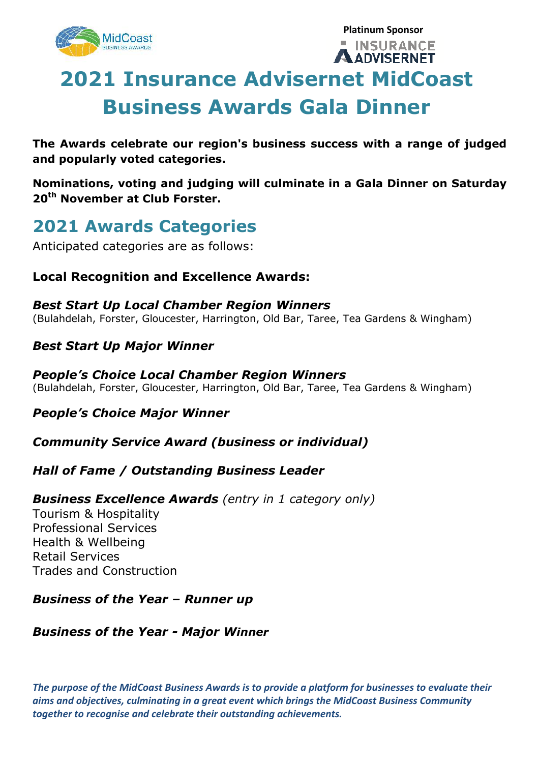

```
Platinum Sponsor 
INSURANCE
```
**ADVISERNET** 

## About the Awards of the Awards of the Awards of the Awards of the Awards of the Awards of the Awards of the Awards of the Awards of the Awards of the Awards of the Awards of the Awards of the Awards of the Awards of the Aw **2021 Insurance Advisernet MidCoast Business Awards Gala Dinner**

**The Awards celebrate our region's business success with a range of judged and popularly voted categories.** 

**Nominations, voting and judging will culminate in a Gala Dinner on Saturday 20th November at Club Forster.** 

## **2021 Awards Categories**

Anticipated categories are as follows:

#### **Local Recognition and Excellence Awards:**

#### *Best Start Up Local Chamber Region Winners*  (Bulahdelah, Forster, Gloucester, Harrington, Old Bar, Taree, Tea Gardens & Wingham)

### *Best Start Up Major Winner*

#### *People's Choice Local Chamber Region Winners*  (Bulahdelah, Forster, Gloucester, Harrington, Old Bar, Taree, Tea Gardens & Wingham)

### *People's Choice Major Winner*

#### *Community Service Award (business or individual)*

### *Hall of Fame / Outstanding Business Leader*

#### *Business Excellence Awards (entry in 1 category only)*

Tourism & Hospitality Professional Services Health & Wellbeing Retail Services Trades and Construction

### *Business of the Year – Runner up*

#### *Business of the Year - Major Winner*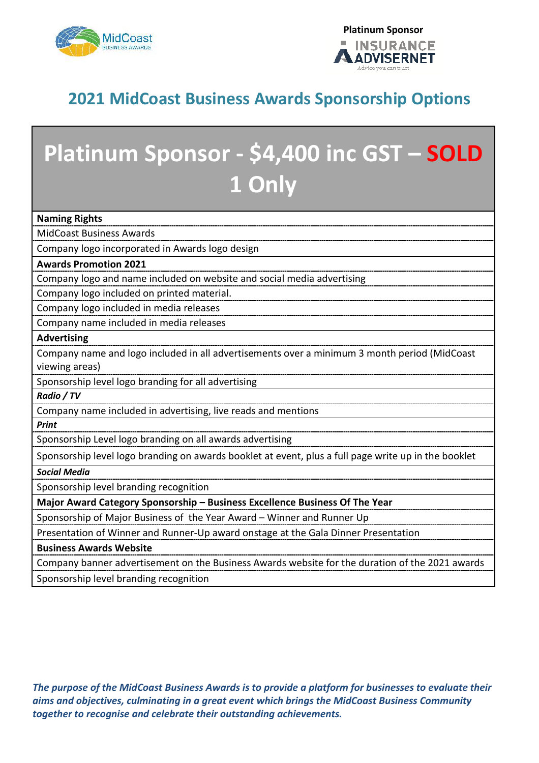



### **2021 MidCoast Business Awards Sponsorship Options**

# **Platinum Sponsor - \$4,400 inc GST – SOLD 1 Only**

**Naming Rights** 

MidCoast Business Awards

Company logo incorporated in Awards logo design

#### **Awards Promotion 2021**

Company logo and name included on website and social media advertising

Company logo included on printed material.

Company logo included in media releases

Company name included in media releases

**Advertising** 

Company name and logo included in all advertisements over a minimum 3 month period (MidCoast viewing areas)

Sponsorship level logo branding for all advertising

*Radio / TV* 

Company name included in advertising, live reads and mentions

*Print* 

Sponsorship Level logo branding on all awards advertising

Sponsorship level logo branding on awards booklet at event, plus a full page write up in the booklet

*Social Media* 

Sponsorship level branding recognition

**Major Award Category Sponsorship – Business Excellence Business Of The Year** 

Sponsorship of Major Business of the Year Award – Winner and Runner Up

Presentation of Winner and Runner-Up award onstage at the Gala Dinner Presentation

**Business Awards Website** 

Company banner advertisement on the Business Awards website for the duration of the 2021 awards

Sponsorship level branding recognition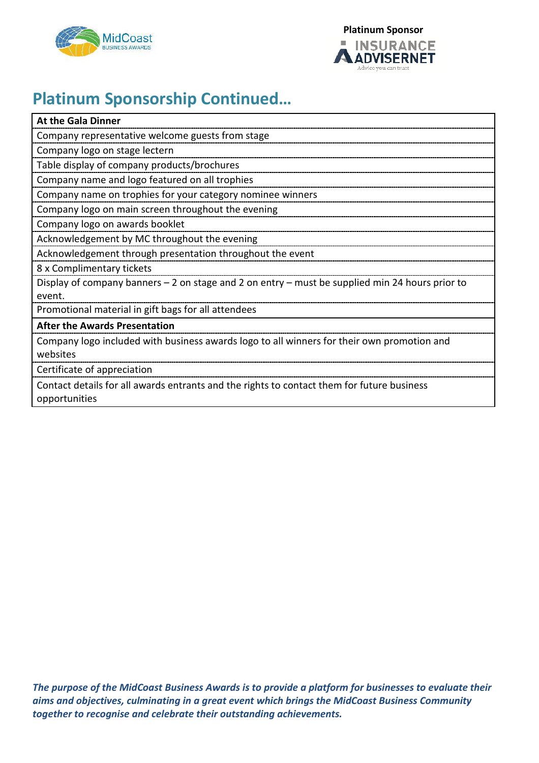



### **Platinum Sponsorship Continued…**

| <b>At the Gala Dinner</b>                                                                                   |
|-------------------------------------------------------------------------------------------------------------|
| Company representative welcome guests from stage                                                            |
| Company logo on stage lectern                                                                               |
| Table display of company products/brochures                                                                 |
| Company name and logo featured on all trophies                                                              |
| Company name on trophies for your category nominee winners                                                  |
| Company logo on main screen throughout the evening                                                          |
| Company logo on awards booklet                                                                              |
| Acknowledgement by MC throughout the evening                                                                |
| Acknowledgement through presentation throughout the event                                                   |
| 8 x Complimentary tickets                                                                                   |
| Display of company banners - 2 on stage and 2 on entry - must be supplied min 24 hours prior to             |
| event.                                                                                                      |
| Promotional material in gift bags for all attendees                                                         |
| <b>After the Awards Presentation</b>                                                                        |
| Company logo included with business awards logo to all winners for their own promotion and                  |
| websites                                                                                                    |
| Certificate of appreciation                                                                                 |
| Contact details for all awards entrants and the rights to contact them for future business<br>opportunities |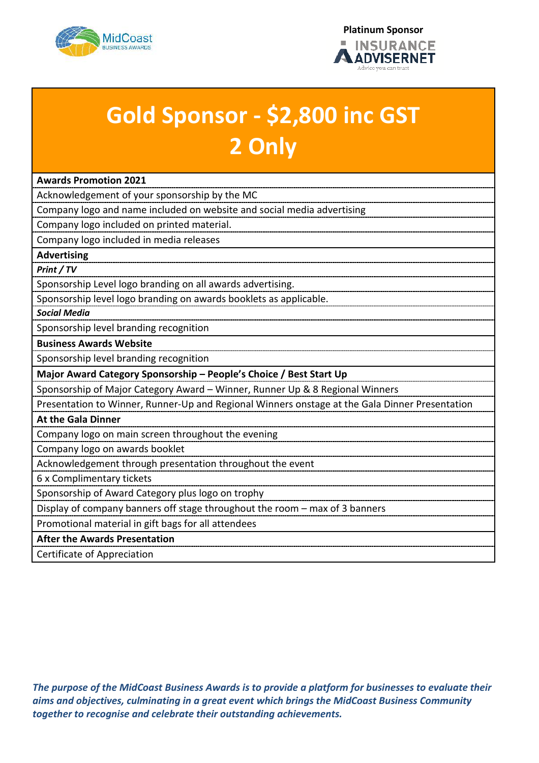



# **Gold Sponsor - \$2,800 inc GST 2 Only**

| <b>Awards Promotion 2021</b>                                                                   |
|------------------------------------------------------------------------------------------------|
| Acknowledgement of your sponsorship by the MC                                                  |
| Company logo and name included on website and social media advertising                         |
| Company logo included on printed material.                                                     |
| Company logo included in media releases                                                        |
| <b>Advertising</b>                                                                             |
| Print / TV                                                                                     |
| Sponsorship Level logo branding on all awards advertising.                                     |
| Sponsorship level logo branding on awards booklets as applicable.                              |
| <b>Social Media</b>                                                                            |
| Sponsorship level branding recognition                                                         |
| <b>Business Awards Website</b>                                                                 |
| Sponsorship level branding recognition                                                         |
| Major Award Category Sponsorship - People's Choice / Best Start Up                             |
| Sponsorship of Major Category Award - Winner, Runner Up & 8 Regional Winners                   |
| Presentation to Winner, Runner-Up and Regional Winners onstage at the Gala Dinner Presentation |
| <b>At the Gala Dinner</b>                                                                      |
| Company logo on main screen throughout the evening                                             |
| Company logo on awards booklet                                                                 |
| Acknowledgement through presentation throughout the event                                      |
| 6 x Complimentary tickets                                                                      |
| Sponsorship of Award Category plus logo on trophy                                              |
| Display of company banners off stage throughout the room - max of 3 banners                    |
| Promotional material in gift bags for all attendees                                            |
| <b>After the Awards Presentation</b>                                                           |
| Certificate of Appreciation                                                                    |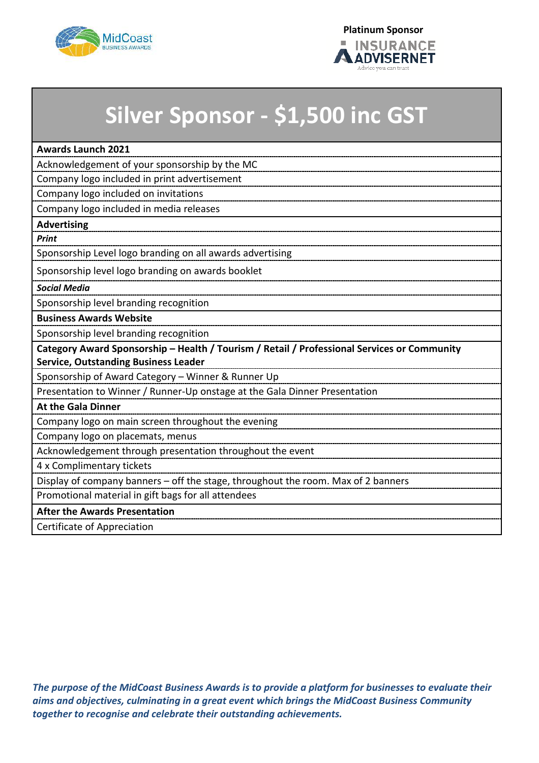

## **Silver Sponsor - \$1,500 inc GST**

| <b>Awards Launch 2021</b>                                                                   |
|---------------------------------------------------------------------------------------------|
| Acknowledgement of your sponsorship by the MC                                               |
| Company logo included in print advertisement                                                |
| Company logo included on invitations                                                        |
| Company logo included in media releases                                                     |
| <b>Advertising</b>                                                                          |
| <b>Print</b>                                                                                |
| Sponsorship Level logo branding on all awards advertising                                   |
| Sponsorship level logo branding on awards booklet                                           |
| <b>Social Media</b>                                                                         |
| Sponsorship level branding recognition                                                      |
| <b>Business Awards Website</b>                                                              |
| Sponsorship level branding recognition                                                      |
| Category Award Sponsorship - Health / Tourism / Retail / Professional Services or Community |
| <b>Service, Outstanding Business Leader</b>                                                 |
| Sponsorship of Award Category - Winner & Runner Up                                          |
| Presentation to Winner / Runner-Up onstage at the Gala Dinner Presentation                  |
| <b>At the Gala Dinner</b>                                                                   |
| Company logo on main screen throughout the evening                                          |
| Company logo on placemats, menus                                                            |
| Acknowledgement through presentation throughout the event                                   |
| 4 x Complimentary tickets                                                                   |
| Display of company banners - off the stage, throughout the room. Max of 2 banners           |
| Promotional material in gift bags for all attendees                                         |
| <b>After the Awards Presentation</b>                                                        |
| Certificate of Appreciation                                                                 |